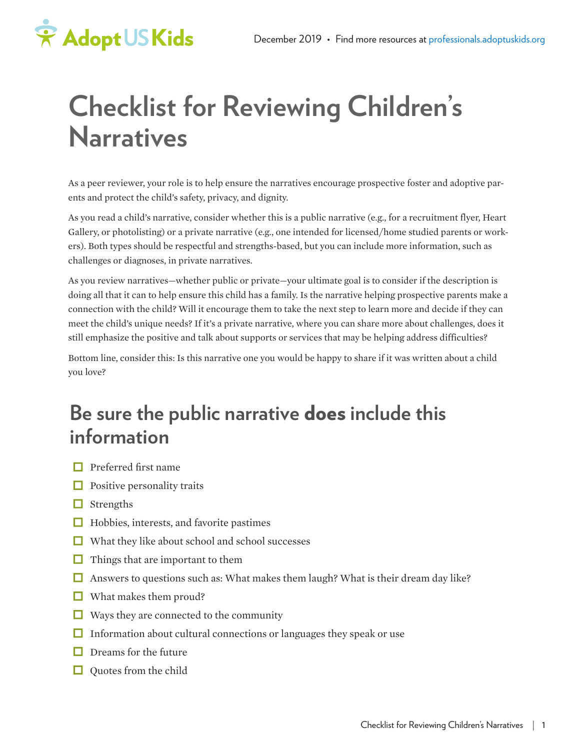

# **Checklist for Reviewing Children's Narratives**

As a peer reviewer, your role is to help ensure the narratives encourage prospective foster and adoptive parents and protect the child's safety, privacy, and dignity.

As you read a child's narrative, consider whether this is a public narrative (e.g., for a recruitment flyer, Heart Gallery, or photolisting) or a private narrative (e.g., one intended for licensed/home studied parents or workers). Both types should be respectful and strengths-based, but you can include more information, such as challenges or diagnoses, in private narratives.

As you review narratives—whether public or private—your ultimate goal is to consider if the description is doing all that it can to help ensure this child has a family. Is the narrative helping prospective parents make a connection with the child? Will it encourage them to take the next step to learn more and decide if they can meet the child's unique needs? If it's a private narrative, where you can share more about challenges, does it still emphasize the positive and talk about supports or services that may be helping address difficulties?

Bottom line, consider this: Is this narrative one you would be happy to share if it was written about a child you love?

# **Be sure the public narrative** does **include this information**

- $\Box$  Preferred first name
- $\Box$  Positive personality traits
- $\Box$  Strengths
- $\Box$  Hobbies, interests, and favorite pastimes
- $\Box$  What they like about school and school successes
- $\Box$  Things that are important to them
- Answers to questions such as: What makes them laugh? What is their dream day like?
- $\Box$  What makes them proud?
- $\Box$  Ways they are connected to the community
- $\Box$  Information about cultural connections or languages they speak or use
- $\Box$  Dreams for the future
- $\Box$  Quotes from the child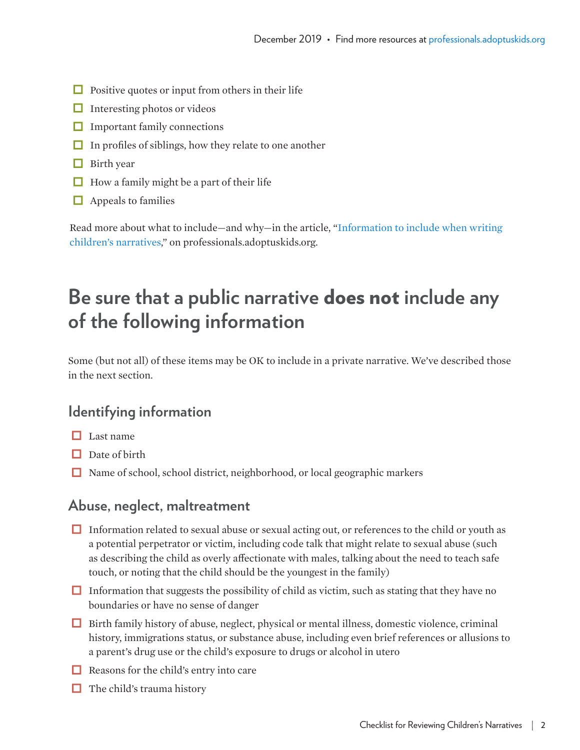- $\Box$  Positive quotes or input from others in their life
- $\Box$  Interesting photos or videos
- $\Box$  Important family connections
- $\Box$  In profiles of siblings, how they relate to one another
- $\Box$  Birth year
- $\Box$  How a family might be a part of their life
- $\Box$  Appeals to families

Read more about what to include—and why—in the article, "[Information to include when writing](https://professionals.adoptuskids.org/information-to-include-when-writing-child-narratives/)  [children's narratives](https://professionals.adoptuskids.org/information-to-include-when-writing-child-narratives/)," on professionals.adoptuskids.org.

# **Be sure that a public narrative** does not **include any of the following information**

Some (but not all) of these items may be OK to include in a private narrative. We've described those in the next section.

# **Identifying information**

- $\Box$  Last name
- $\Box$  Date of birth
- $\Box$  Name of school, school district, neighborhood, or local geographic markers

#### **Abuse, neglect, maltreatment**

- Information related to sexual abuse or sexual acting out, or references to the child or youth as a potential perpetrator or victim, including code talk that might relate to sexual abuse (such as describing the child as overly affectionate with males, talking about the need to teach safe touch, or noting that the child should be the youngest in the family)
- $\Box$  Information that suggests the possibility of child as victim, such as stating that they have no boundaries or have no sense of danger
- $\Box$  Birth family history of abuse, neglect, physical or mental illness, domestic violence, criminal history, immigrations status, or substance abuse, including even brief references or allusions to a parent's drug use or the child's exposure to drugs or alcohol in utero
- $\Box$  Reasons for the child's entry into care
- $\Box$  The child's trauma history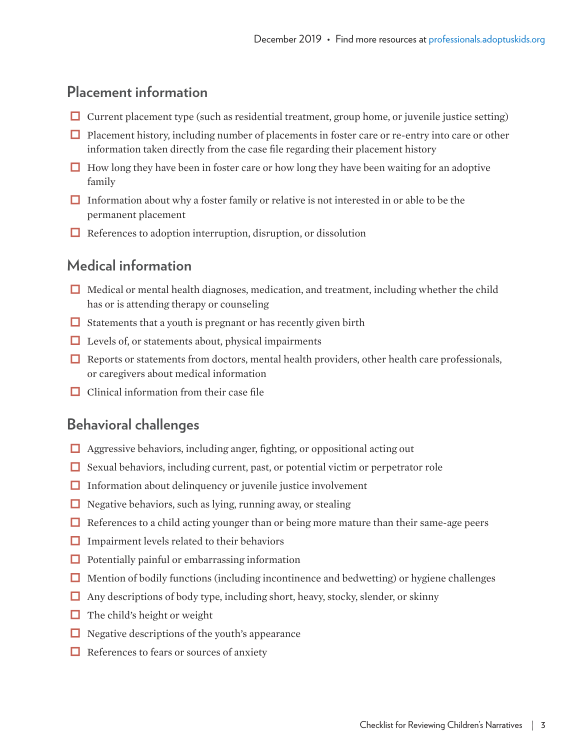# **Placement information**

- $\Box$  Current placement type (such as residential treatment, group home, or juvenile justice setting)
- $\Box$  Placement history, including number of placements in foster care or re-entry into care or other information taken directly from the case file regarding their placement history
- $\Box$  How long they have been in foster care or how long they have been waiting for an adoptive family
- Information about why a foster family or relative is not interested in or able to be the permanent placement
- $\Box$  References to adoption interruption, disruption, or dissolution

### **Medical information**

- Medical or mental health diagnoses, medication, and treatment, including whether the child has or is attending therapy or counseling
- $\Box$  Statements that a youth is pregnant or has recently given birth
- $\Box$  Levels of, or statements about, physical impairments
- $\Box$  Reports or statements from doctors, mental health providers, other health care professionals, or caregivers about medical information
- $\Box$  Clinical information from their case file

#### **Behavioral challenges**

- $\Box$  Aggressive behaviors, including anger, fighting, or oppositional acting out
- $\Box$  Sexual behaviors, including current, past, or potential victim or perpetrator role
- $\Box$  Information about delinquency or juvenile justice involvement
- $\Box$  Negative behaviors, such as lying, running away, or stealing
- $\Box$  References to a child acting younger than or being more mature than their same-age peers
- $\Box$  Impairment levels related to their behaviors
- $\Box$  Potentially painful or embarrassing information
- $\Box$  Mention of bodily functions (including incontinence and bedwetting) or hygiene challenges
- $\Box$  Any descriptions of body type, including short, heavy, stocky, slender, or skinny
- $\Box$  The child's height or weight
- $\Box$  Negative descriptions of the youth's appearance
- $\Box$  References to fears or sources of anxiety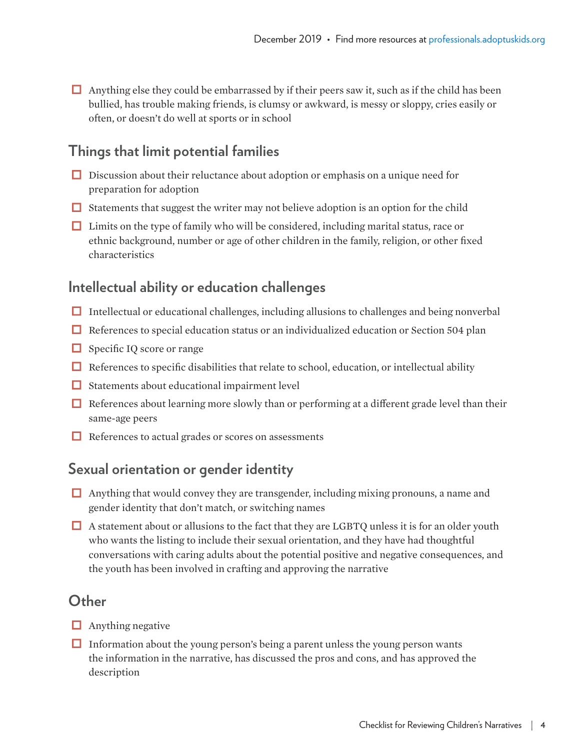$\Box$  Anything else they could be embarrassed by if their peers saw it, such as if the child has been bullied, has trouble making friends, is clumsy or awkward, is messy or sloppy, cries easily or often, or doesn't do well at sports or in school

# **Things that limit potential families**

- $\Box$  Discussion about their reluctance about adoption or emphasis on a unique need for preparation for adoption
- $\Box$  Statements that suggest the writer may not believe adoption is an option for the child
- $\Box$  Limits on the type of family who will be considered, including marital status, race or ethnic background, number or age of other children in the family, religion, or other fixed characteristics

# **Intellectual ability or education challenges**

- $\Box$  Intellectual or educational challenges, including allusions to challenges and being nonverbal
- $\Box$  References to special education status or an individualized education or Section 504 plan
- $\Box$  Specific IQ score or range
- $\Box$  References to specific disabilities that relate to school, education, or intellectual ability
- $\Box$  Statements about educational impairment level
- $\Box$  References about learning more slowly than or performing at a different grade level than their same-age peers
- $\Box$  References to actual grades or scores on assessments

# **Sexual orientation or gender identity**

- $\Box$  Anything that would convey they are transgender, including mixing pronouns, a name and gender identity that don't match, or switching names
- A statement about or allusions to the fact that they are LGBTQ unless it is for an older youth who wants the listing to include their sexual orientation, and they have had thoughtful conversations with caring adults about the potential positive and negative consequences, and the youth has been involved in crafting and approving the narrative

#### **Other**

- $\Box$  Anything negative
- $\Box$  Information about the young person's being a parent unless the young person wants the information in the narrative, has discussed the pros and cons, and has approved the description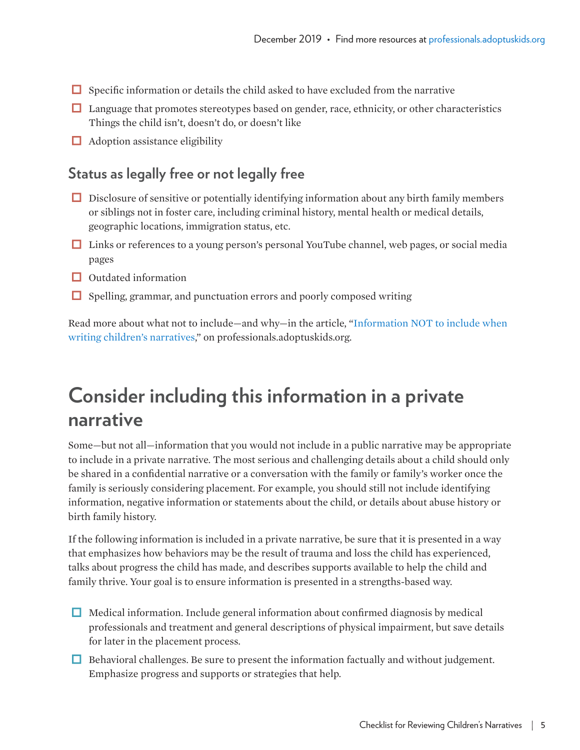- $\Box$  Specific information or details the child asked to have excluded from the narrative
- $\Box$  Language that promotes stereotypes based on gender, race, ethnicity, or other characteristics Things the child isn't, doesn't do, or doesn't like
- $\Box$  Adoption assistance eligibility

### **Status as legally free or not legally free**

- $\Box$  Disclosure of sensitive or potentially identifying information about any birth family members or siblings not in foster care, including criminal history, mental health or medical details, geographic locations, immigration status, etc.
- □ Links or references to a young person's personal YouTube channel, web pages, or social media pages
- $\Box$  Outdated information
- $\Box$  Spelling, grammar, and punctuation errors and poorly composed writing

Read more about what not to include—and why—in the article, ["Information NOT to include when](https://professionals.adoptuskids.org/information-you-should-not-include-when-writing-a-childs-narrative/)  [writing children's narratives,](https://professionals.adoptuskids.org/information-you-should-not-include-when-writing-a-childs-narrative/)" on professionals.adoptuskids.org.

# **Consider including this information in a private narrative**

Some—but not all—information that you would not include in a public narrative may be appropriate to include in a private narrative. The most serious and challenging details about a child should only be shared in a confidential narrative or a conversation with the family or family's worker once the family is seriously considering placement. For example, you should still not include identifying information, negative information or statements about the child, or details about abuse history or birth family history.

If the following information is included in a private narrative, be sure that it is presented in a way that emphasizes how behaviors may be the result of trauma and loss the child has experienced, talks about progress the child has made, and describes supports available to help the child and family thrive. Your goal is to ensure information is presented in a strengths-based way.

- $\Box$  Medical information. Include general information about confirmed diagnosis by medical professionals and treatment and general descriptions of physical impairment, but save details for later in the placement process.
- $\Box$  Behavioral challenges. Be sure to present the information factually and without judgement. Emphasize progress and supports or strategies that help.